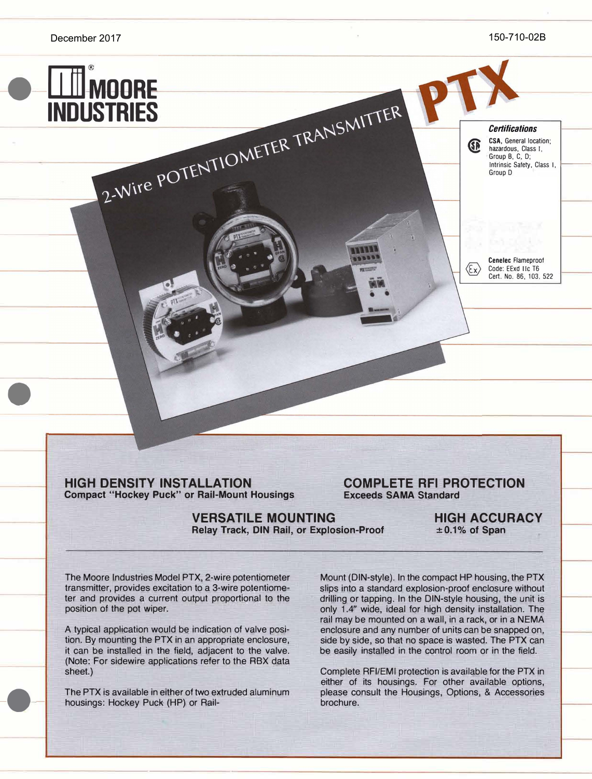*Certifications*  **CSA, General location;** hazardous, Class I, Group B, C, D; Intrinsic Safety, Class I,

FM, Factory Mutual,

**Cenelec** Flameproof Code: EExd **lie** T6 Cert. No. 86, 103, 522

 $\langle \epsilon_{\mathsf{x}} \rangle$ 

Group D



•

-•-

**HIGH DENSITY INSTALLATION COMPLETE RFI PROTECTION**<br> **COMPLETE RFI PROTECTION**<br>
Exceeds SAMA Standard **Compact "Hockey Puck" or Rail-Mount Housings** 

**VERSATILE MOUNTING HIGH ACCURACY**<br>Relay Track, DIN Rail, or Explosion-Proof  $\pm 0.1\%$  of Span **Relay Track, DIN Rail, or Explosion-Proof** 

The Moore Industries Model PTX, 2-wire potentiometer transmitter, provides excitation to a 3-wire potentiometer and provides a current output proportional to the position of the pot wiper.

A typical application would be indication of valve position. By mounting the PTX in an appropriate enclosure, it can be installed in the field, adjacent to the valve. (Note: For sidewire applications refer to the ABX data sheet.)

The PTX is available in either of two extruded aluminum housings: Hockey Puck (HP) or RailMount (DIN-style). In the compact HP housing, the PTX slips into a standard explosion-proof enclosure without drilling or tapping. In the DIN-style housing, the unit is only 1.4" wide, ideal for high density installation. The rail may be mounted on a wall, in a rack, or in a NEMA enclosure and any number of units can be snapped on, side by side, so that no space is wasted. The PTX can be easily installed in the control room or in the field.

Complete RFI/EMI protection is available for the PTX in either of its housings. For other available options, please consult the Housings, Options, & Accessories brochure.